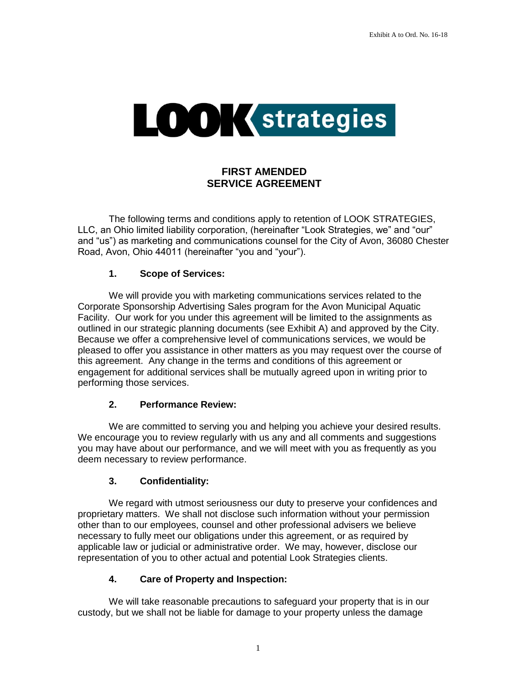

# **FIRST AMENDED SERVICE AGREEMENT**

The following terms and conditions apply to retention of LOOK STRATEGIES, LLC, an Ohio limited liability corporation, (hereinafter "Look Strategies, we" and "our" and "us") as marketing and communications counsel for the City of Avon, 36080 Chester Road, Avon, Ohio 44011 (hereinafter "you and "your").

### **1. Scope of Services:**

We will provide you with marketing communications services related to the Corporate Sponsorship Advertising Sales program for the Avon Municipal Aquatic Facility. Our work for you under this agreement will be limited to the assignments as outlined in our strategic planning documents (see Exhibit A) and approved by the City. Because we offer a comprehensive level of communications services, we would be pleased to offer you assistance in other matters as you may request over the course of this agreement. Any change in the terms and conditions of this agreement or engagement for additional services shall be mutually agreed upon in writing prior to performing those services.

### **2. Performance Review:**

We are committed to serving you and helping you achieve your desired results. We encourage you to review regularly with us any and all comments and suggestions you may have about our performance, and we will meet with you as frequently as you deem necessary to review performance.

### **3. Confidentiality:**

We regard with utmost seriousness our duty to preserve your confidences and proprietary matters. We shall not disclose such information without your permission other than to our employees, counsel and other professional advisers we believe necessary to fully meet our obligations under this agreement, or as required by applicable law or judicial or administrative order. We may, however, disclose our representation of you to other actual and potential Look Strategies clients.

## **4. Care of Property and Inspection:**

We will take reasonable precautions to safeguard your property that is in our custody, but we shall not be liable for damage to your property unless the damage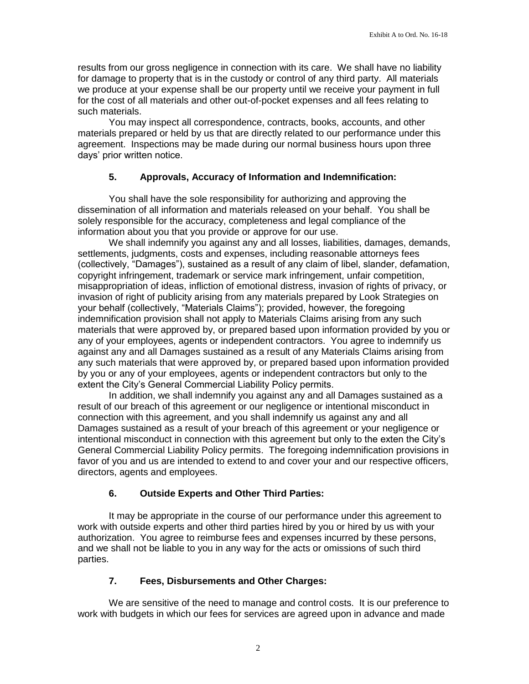results from our gross negligence in connection with its care. We shall have no liability for damage to property that is in the custody or control of any third party. All materials we produce at your expense shall be our property until we receive your payment in full for the cost of all materials and other out-of-pocket expenses and all fees relating to such materials.

You may inspect all correspondence, contracts, books, accounts, and other materials prepared or held by us that are directly related to our performance under this agreement. Inspections may be made during our normal business hours upon three days' prior written notice.

### **5. Approvals, Accuracy of Information and Indemnification:**

You shall have the sole responsibility for authorizing and approving the dissemination of all information and materials released on your behalf. You shall be solely responsible for the accuracy, completeness and legal compliance of the information about you that you provide or approve for our use.

We shall indemnify you against any and all losses, liabilities, damages, demands, settlements, judgments, costs and expenses, including reasonable attorneys fees (collectively, "Damages"), sustained as a result of any claim of libel, slander, defamation, copyright infringement, trademark or service mark infringement, unfair competition, misappropriation of ideas, infliction of emotional distress, invasion of rights of privacy, or invasion of right of publicity arising from any materials prepared by Look Strategies on your behalf (collectively, "Materials Claims"); provided, however, the foregoing indemnification provision shall not apply to Materials Claims arising from any such materials that were approved by, or prepared based upon information provided by you or any of your employees, agents or independent contractors. You agree to indemnify us against any and all Damages sustained as a result of any Materials Claims arising from any such materials that were approved by, or prepared based upon information provided by you or any of your employees, agents or independent contractors but only to the extent the City's General Commercial Liability Policy permits.

In addition, we shall indemnify you against any and all Damages sustained as a result of our breach of this agreement or our negligence or intentional misconduct in connection with this agreement, and you shall indemnify us against any and all Damages sustained as a result of your breach of this agreement or your negligence or intentional misconduct in connection with this agreement but only to the exten the City's General Commercial Liability Policy permits. The foregoing indemnification provisions in favor of you and us are intended to extend to and cover your and our respective officers, directors, agents and employees.

## **6. Outside Experts and Other Third Parties:**

It may be appropriate in the course of our performance under this agreement to work with outside experts and other third parties hired by you or hired by us with your authorization. You agree to reimburse fees and expenses incurred by these persons, and we shall not be liable to you in any way for the acts or omissions of such third parties.

## **7. Fees, Disbursements and Other Charges:**

We are sensitive of the need to manage and control costs. It is our preference to work with budgets in which our fees for services are agreed upon in advance and made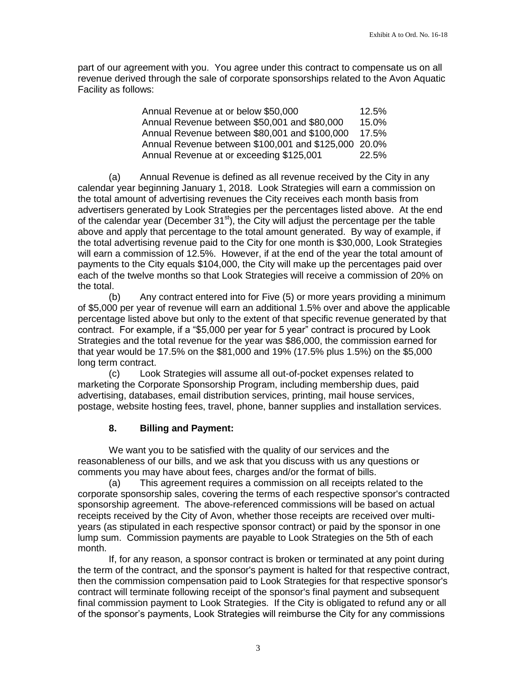part of our agreement with you. You agree under this contract to compensate us on all revenue derived through the sale of corporate sponsorships related to the Avon Aquatic Facility as follows:

| Annual Revenue at or below \$50,000                  | 12.5% |
|------------------------------------------------------|-------|
| Annual Revenue between \$50,001 and \$80,000         | 15.0% |
| Annual Revenue between \$80,001 and \$100,000        | 17.5% |
| Annual Revenue between \$100,001 and \$125,000 20.0% |       |
| Annual Revenue at or exceeding \$125,001             | 22.5% |

(a) Annual Revenue is defined as all revenue received by the City in any calendar year beginning January 1, 2018. Look Strategies will earn a commission on the total amount of advertising revenues the City receives each month basis from advertisers generated by Look Strategies per the percentages listed above. At the end of the calendar year (December  $31<sup>st</sup>$ ), the City will adjust the percentage per the table above and apply that percentage to the total amount generated. By way of example, if the total advertising revenue paid to the City for one month is \$30,000, Look Strategies will earn a commission of 12.5%. However, if at the end of the year the total amount of payments to the City equals \$104,000, the City will make up the percentages paid over each of the twelve months so that Look Strategies will receive a commission of 20% on the total.

(b) Any contract entered into for Five (5) or more years providing a minimum of \$5,000 per year of revenue will earn an additional 1.5% over and above the applicable percentage listed above but only to the extent of that specific revenue generated by that contract. For example, if a "\$5,000 per year for 5 year" contract is procured by Look Strategies and the total revenue for the year was \$86,000, the commission earned for that year would be 17.5% on the \$81,000 and 19% (17.5% plus 1.5%) on the \$5,000 long term contract.

(c) Look Strategies will assume all out-of-pocket expenses related to marketing the Corporate Sponsorship Program, including membership dues, paid advertising, databases, email distribution services, printing, mail house services, postage, website hosting fees, travel, phone, banner supplies and installation services.

### **8. Billing and Payment:**

We want you to be satisfied with the quality of our services and the reasonableness of our bills, and we ask that you discuss with us any questions or comments you may have about fees, charges and/or the format of bills.

(a) This agreement requires a commission on all receipts related to the corporate sponsorship sales, covering the terms of each respective sponsor's contracted sponsorship agreement. The above-referenced commissions will be based on actual receipts received by the City of Avon, whether those receipts are received over multiyears (as stipulated in each respective sponsor contract) or paid by the sponsor in one lump sum. Commission payments are payable to Look Strategies on the 5th of each month.

If, for any reason, a sponsor contract is broken or terminated at any point during the term of the contract, and the sponsor's payment is halted for that respective contract, then the commission compensation paid to Look Strategies for that respective sponsor's contract will terminate following receipt of the sponsor's final payment and subsequent final commission payment to Look Strategies. If the City is obligated to refund any or all of the sponsor's payments, Look Strategies will reimburse the City for any commissions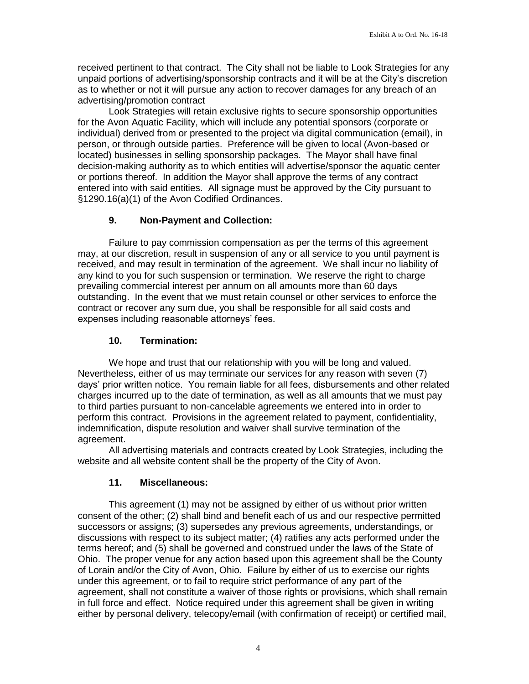received pertinent to that contract. The City shall not be liable to Look Strategies for any unpaid portions of advertising/sponsorship contracts and it will be at the City's discretion as to whether or not it will pursue any action to recover damages for any breach of an advertising/promotion contract

Look Strategies will retain exclusive rights to secure sponsorship opportunities for the Avon Aquatic Facility, which will include any potential sponsors (corporate or individual) derived from or presented to the project via digital communication (email), in person, or through outside parties. Preference will be given to local (Avon-based or located) businesses in selling sponsorship packages. The Mayor shall have final decision-making authority as to which entities will advertise/sponsor the aquatic center or portions thereof. In addition the Mayor shall approve the terms of any contract entered into with said entities. All signage must be approved by the City pursuant to §1290.16(a)(1) of the Avon Codified Ordinances.

### **9. Non-Payment and Collection:**

Failure to pay commission compensation as per the terms of this agreement may, at our discretion, result in suspension of any or all service to you until payment is received, and may result in termination of the agreement. We shall incur no liability of any kind to you for such suspension or termination. We reserve the right to charge prevailing commercial interest per annum on all amounts more than 60 days outstanding. In the event that we must retain counsel or other services to enforce the contract or recover any sum due, you shall be responsible for all said costs and expenses including reasonable attorneys' fees.

### **10. Termination:**

We hope and trust that our relationship with you will be long and valued. Nevertheless, either of us may terminate our services for any reason with seven (7) days' prior written notice. You remain liable for all fees, disbursements and other related charges incurred up to the date of termination, as well as all amounts that we must pay to third parties pursuant to non-cancelable agreements we entered into in order to perform this contract. Provisions in the agreement related to payment, confidentiality, indemnification, dispute resolution and waiver shall survive termination of the agreement.

All advertising materials and contracts created by Look Strategies, including the website and all website content shall be the property of the City of Avon.

### **11. Miscellaneous:**

This agreement (1) may not be assigned by either of us without prior written consent of the other; (2) shall bind and benefit each of us and our respective permitted successors or assigns; (3) supersedes any previous agreements, understandings, or discussions with respect to its subject matter; (4) ratifies any acts performed under the terms hereof; and (5) shall be governed and construed under the laws of the State of Ohio. The proper venue for any action based upon this agreement shall be the County of Lorain and/or the City of Avon, Ohio. Failure by either of us to exercise our rights under this agreement, or to fail to require strict performance of any part of the agreement, shall not constitute a waiver of those rights or provisions, which shall remain in full force and effect. Notice required under this agreement shall be given in writing either by personal delivery, telecopy/email (with confirmation of receipt) or certified mail,